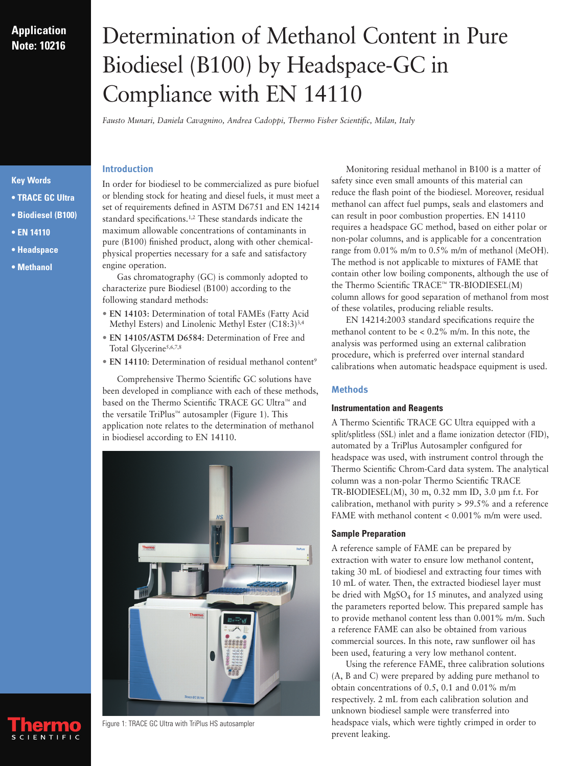# **Application Note: 10216**

# Determination of Methanol Content in Pure Biodiesel (B100) by Headspace-GC in Compliance with EN 14110

*Fausto Munari, Daniela Cavagnino, Andrea Cadoppi, Thermo Fisher Scientific, Milan, Italy*

# **Introduction**

In order for biodiesel to be commercialized as pure biofuel or blending stock for heating and diesel fuels, it must meet a set of requirements defined in ASTM D6751 and EN 14214 standard specifications.1,2 These standards indicate the maximum allowable concentrations of contaminants in pure (B100) finished product, along with other chemicalphysical properties necessary for a safe and satisfactory engine operation.

Gas chromatography (GC) is commonly adopted to characterize pure Biodiesel (B100) according to the following standard methods:

- **EN 14103**: Determination of total FAMEs (Fatty Acid Methyl Esters) and Linolenic Methyl Ester (C18:3)3,4
- **EN 14105/ASTM D6584**: Determination of Free and Total Glycerine<sup>5,6,7,8</sup>
- **EN 14110**: Determination of residual methanol content<sup>9</sup>

Comprehensive Thermo Scientific GC solutions have been developed in compliance with each of these methods, based on the Thermo Scientific TRACE GC Ultra™ and the versatile TriPlus™ autosampler (Figure 1). This application note relates to the determination of methanol in biodiesel according to EN 14110.



Monitoring residual methanol in B100 is a matter of safety since even small amounts of this material can reduce the flash point of the biodiesel. Moreover, residual methanol can affect fuel pumps, seals and elastomers and can result in poor combustion properties. EN 14110 requires a headspace GC method, based on either polar or non-polar columns, and is applicable for a concentration range from 0.01% m/m to 0.5% m/m of methanol (MeOH). The method is not applicable to mixtures of FAME that contain other low boiling components, although the use of the Thermo Scientific TRACE™ TR-BIODIESEL(M) column allows for good separation of methanol from most of these volatiles, producing reliable results.

EN 14214:2003 standard specifications require the methanol content to be  $\lt 0.2\%$  m/m. In this note, the analysis was performed using an external calibration procedure, which is preferred over internal standard calibrations when automatic headspace equipment is used.

# **Methods**

#### **Instrumentation and Reagents**

A Thermo Scientific TRACE GC Ultra equipped with a split/splitless (SSL) inlet and a flame ionization detector (FID), automated by a TriPlus Autosampler configured for headspace was used, with instrument control through the Thermo Scientific Chrom-Card data system. The analytical column was a non-polar Thermo Scientific TRACE TR-BIODIESEL(M), 30 m, 0.32 mm ID, 3.0 µm f.t. For calibration, methanol with purity > 99.5% and a reference FAME with methanol content < 0.001% m/m were used.

#### **Sample Preparation**

A reference sample of FAME can be prepared by extraction with water to ensure low methanol content, taking 30 mL of biodiesel and extracting four times with 10 mL of water. Then, the extracted biodiesel layer must be dried with  $MgSO<sub>4</sub>$  for 15 minutes, and analyzed using the parameters reported below. This prepared sample has to provide methanol content less than 0.001% m/m. Such a reference FAME can also be obtained from various commercial sources. In this note, raw sunflower oil has been used, featuring a very low methanol content.

Using the reference FAME, three calibration solutions (A, B and C) were prepared by adding pure methanol to obtain concentrations of 0.5, 0.1 and 0.01% m/m respectively. 2 mL from each calibration solution and unknown biodiesel sample were transferred into headspace vials, which were tightly crimped in order to prevent leaking.

### **Key Words**

- **TRACE GC Ultra**
- **Biodiesel (B100)**
- **EN 14110**
- **Headspace**
- **Methanol**



Figure 1: TRACE GC Ultra with TriPlus HS autosampler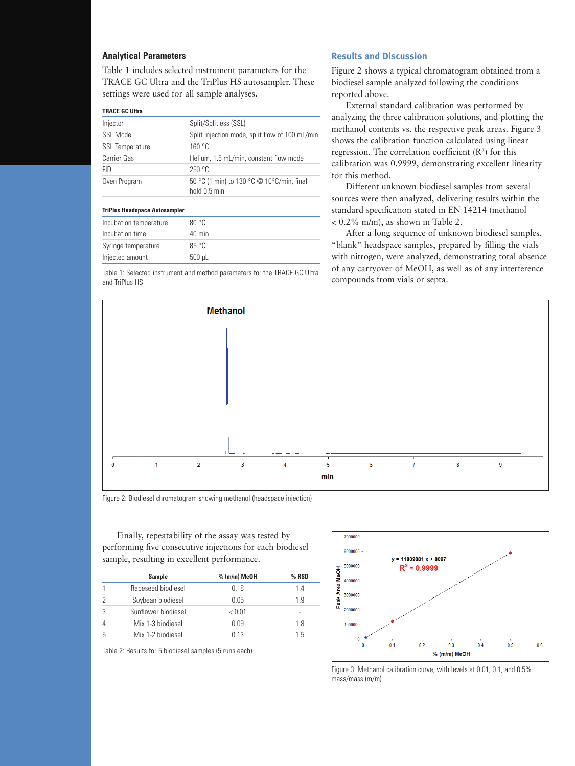# **Analytical Parameters**

Table 1 includes selected instrument parameters for the TRACE GC Ultra and the TriPlus HS autosampler. These settings were used for all sample analyses.

#### **TRACE GC Ultra**

| Injector                             | Split/Splitless (SSL)                                     |  |
|--------------------------------------|-----------------------------------------------------------|--|
| SSL Mode                             | Split injection mode, split flow of 100 mL/min            |  |
| <b>SSL Temperature</b>               | 160 °C                                                    |  |
| Carrier Gas                          | Helium, 1.5 mL/min, constant flow mode                    |  |
| <b>FID</b>                           | 250 °C                                                    |  |
| Oven Program                         | 50 °C (1 min) to 130 °C @ 10°C/min, final<br>hold 0.5 min |  |
| <b>TriPlus Headspace Autosampler</b> |                                                           |  |

| Incubation temperature | $80^{\circ}$ C |  |
|------------------------|----------------|--|
| Incubation time        | 40 min         |  |
| Syringe temperature    | $85^{\circ}$ C |  |
| Injected amount        | $500$ µL       |  |

Table 1: Selected instrument and method parameters for the TRACE GC Ultra and TriPlus HS

## **Results and Discussion**

Figure 2 shows a typical chromatogram obtained from a biodiesel sample analyzed following the conditions reported above.

External standard calibration was performed by analyzing the three calibration solutions, and plotting the methanol contents vs. the respective peak areas. Figure 3 shows the calibration function calculated using linear regression. The correlation coefficient  $(R^2)$  for this calibration was 0.9999, demonstrating excellent linearity for this method.

Different unknown biodiesel samples from several sources were then analyzed, delivering results within the standard specification stated in EN 14214 (methanol < 0.2% m/m), as shown in Table 2.

After a long sequence of unknown biodiesel samples, "blank" headspace samples, prepared by filling the vials with nitrogen, were analyzed, demonstrating total absence of any carryover of MeOH, as well as of any interference compounds from vials or septa.



Figure 2: Biodiesel chromatogram showing methanol (headspace injection)

Finally, repeatability of the assay was tested by performing five consecutive injections for each biodiesel sample, resulting in excellent performance.

| Sample              | $%$ (m/m) MeOH | $%$ RSD |
|---------------------|----------------|---------|
| Rapeseed biodiesel  | 0.18           | 14      |
| Soybean biodiesel   | 0.05           | 1.9     |
| Sunflower biodiesel | < 0.01         |         |
| Mix 1-3 biodiesel   | 0.09           | 1.8     |
| Mix 1-2 biodiesel   | 0.13           | 1.5     |

Table 2: Results for 5 biodiesel samples (5 runs each)



Figure 3: Methanol calibration curve, with levels at 0.01, 0.1, and 0.5% mass/mass (m/m)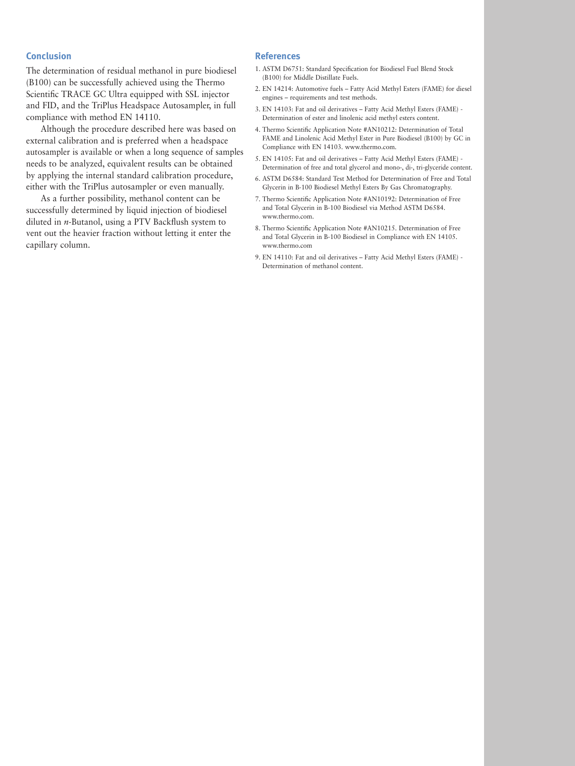#### **Conclusion**

The determination of residual methanol in pure biodiesel (B100) can be successfully achieved using the Thermo Scientific TRACE GC Ultra equipped with SSL injector and FID, and the TriPlus Headspace Autosampler, in full compliance with method EN 14110.

Although the procedure described here was based on external calibration and is preferred when a headspace autosampler is available or when a long sequence of samples needs to be analyzed, equivalent results can be obtained by applying the internal standard calibration procedure, either with the TriPlus autosampler or even manually.

As a further possibility, methanol content can be successfully determined by liquid injection of biodiesel diluted in *n*-Butanol, using a PTV Backflush system to vent out the heavier fraction without letting it enter the capillary column.

#### **References**

- 1. ASTM D6751: Standard Specification for Biodiesel Fuel Blend Stock (B100) for Middle Distillate Fuels.
- 2. EN 14214: Automotive fuels Fatty Acid Methyl Esters (FAME) for diesel engines – requirements and test methods.
- 3. EN 14103: Fat and oil derivatives Fatty Acid Methyl Esters (FAME) Determination of ester and linolenic acid methyl esters content.
- 4. Thermo Scientific Application Note #AN10212: Determination of Total FAME and Linolenic Acid Methyl Ester in Pure Biodiesel (B100) by GC in Compliance with EN 14103. www.thermo.com.
- 5. EN 14105: Fat and oil derivatives Fatty Acid Methyl Esters (FAME) Determination of free and total glycerol and mono-, di-, tri-glyceride content.
- 6. ASTM D6584: Standard Test Method for Determination of Free and Total Glycerin in B-100 Biodiesel Methyl Esters By Gas Chromatography.
- 7. Thermo Scientific Application Note #AN10192: Determination of Free and Total Glycerin in B-100 Biodiesel via Method ASTM D6584. www.thermo.com.
- 8. Thermo Scientific Application Note #AN10215. Determination of Free and Total Glycerin in B-100 Biodiesel in Compliance with EN 14105. www.thermo.com
- 9. EN 14110: Fat and oil derivatives Fatty Acid Methyl Esters (FAME) Determination of methanol content.